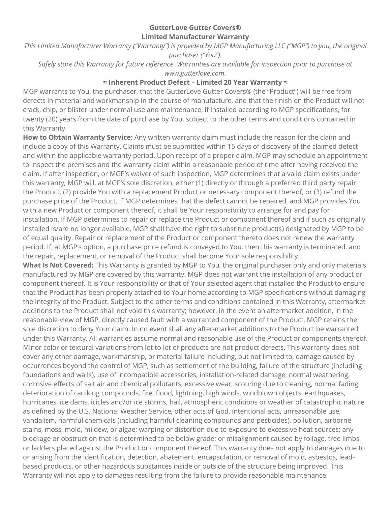## **GutterLove Gutter Covers® Limited Manufacturer Warranty**

This Limited Manufacturer Warranty ("Warranty") is provided by MGP Manufacturing LLC ("MGP") to you, the original *purchaser ("You").*

*Safely store this Warranty for future reference. Warranties are available for inspection prior to purchase at www.gutterlove.com.*

## **≈ Inherent Product Defect – Limited 20 Year Warranty ≈**

MGP warrants to You, the purchaser, that the GutterLove Gutter Covers® (the "Product") will be free from defects in material and workmanship in the course of manufacture, and that the finish on the Product will not crack, chip, or blister under normal use and maintenance, if installed according to MGP specifications, for twenty (20) years from the date of purchase by You, subject to the other terms and conditions contained in this Warranty.

**How to Obtain Warranty Service:** Any written warranty claim must include the reason for the claim and include a copy of this Warranty. Claims must be submitted within 15 days of discovery of the claimed defect and within the applicable warranty period. Upon receipt of a proper claim, MGP may schedule an appointment to inspect the premises and the warranty claim within a reasonable period of time after having received the claim. If after inspection, or MGP's waiver of such inspection, MGP determines that a valid claim exists under this warranty, MGP will, at MGP's sole discretion, either (1) directly or through a preferred third party repair the Product, (2) provide You with a replacement Product or necessary component thereof, or (3) refund the purchase price of the Product. If MGP determines that the defect cannot be repaired, and MGP provides You with a new Product or component thereof, it shall be Your responsibility to arrange for and pay for installation. If MGP determines to repair or replace the Product or component thereof and if such as originally installed is/are no longer available, MGP shall have the right to substitute product(s) designated by MGP to be of equal quality. Repair or replacement of the Product or component thereto does not renew the warranty period. If, at MGP's option, a purchase price refund is conveyed to You, then this warranty is terminated, and the repair, replacement, or removal of the Product shall become Your sole responsibility.

**What Is Not Covered:** This Warranty is granted by MGP to You, the original purchaser only and only materials manufactured by MGP are covered by this warranty. MGP does not warrant the installation of any product or component thereof. It is Your responsibility or that of Your selected agent that installed the Product to ensure that the Product has been properly attached to Your home according to MGP specifications without damaging the integrity of the Product. Subject to the other terms and conditions contained in this Warranty, aftermarket additions to the Product shall not void this warranty; however, in the event an aftermarket addition, in the reasonable view of MGP, directly caused fault with a warranted component of the Product, MGP retains the sole discretion to deny Your claim. In no event shall any after-market additions to the Product be warranted under this Warranty. All warranties assume normal and reasonable use of the Product or components thereof. Minor color or textural variations from lot to lot of products are not product defects. This warranty does not cover any other damage, workmanship, or material failure including, but not limited to, damage caused by occurrences beyond the control of MGP, such as settlement of the building, failure of the structure (including foundations and walls), use of incompatible accessories, installation-related damage, normal weathering, corrosive effects of salt air and chemical pollutants, excessive wear, scouring due to cleaning, normal fading, deterioration of caulking compounds, fire, flood, lightning, high winds, windblown objects, earthquakes, hurricanes, ice dams, icicles and/or ice storms, hail, atmospheric conditions or weather of catastrophic nature as defined by the U.S. National Weather Service, other acts of God, intentional acts, unreasonable use, vandalism, harmful chemicals (including harmful cleaning compounds and pesticides), pollution, airborne stains, moss, mold, mildew, or algae; warping or distortion due to exposure to excessive heat sources; any blockage or obstruction that is determined to be below grade; or misalignment caused by foliage, tree limbs or ladders placed against the Product or component thereof. This warranty does not apply to damages due to or arising from the identification, detection, abatement, encapsulation, or removal of mold, asbestos, leadbased products, or other hazardous substances inside or outside of the structure being improved. This Warranty will not apply to damages resulting from the failure to provide reasonable maintenance.